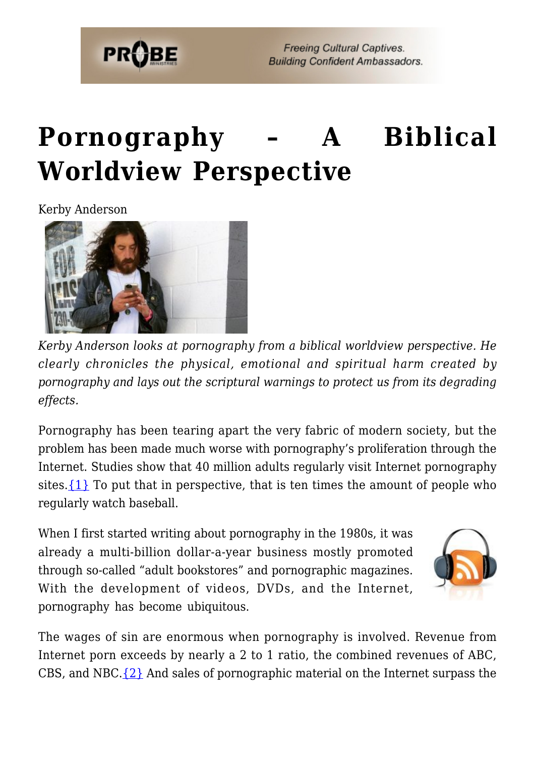

# **[Pornography – A Biblical](https://probe.org/pornography/) [Worldview Perspective](https://probe.org/pornography/)**

Kerby Anderson



*Kerby Anderson looks at pornography from a biblical worldview perspective. He clearly chronicles the physical, emotional and spiritual harm created by pornography and lays out the scriptural warnings to protect us from its degrading effects.*

Pornography has been tearing apart the very fabric of modern society, but the problem has been made much worse with pornography's proliferation through the Internet. Studies show that 40 million adults regularly visit Internet pornography sites. $\{1\}$  To put that in perspective, that is ten times the amount of people who regularly watch baseball.

When I first started writing about pornography in the 1980s, it was already a multi-billion dollar-a-year business mostly promoted through so-called "adult bookstores" and pornographic magazines. With the development of videos, DVDs, and the Internet, pornography has become ubiquitous.



The wages of sin are enormous when pornography is involved. Revenue from Internet porn exceeds by nearly a 2 to 1 ratio, the combined revenues of ABC, CBS, and NBC. $\{2\}$  And sales of pornographic material on the Internet surpass the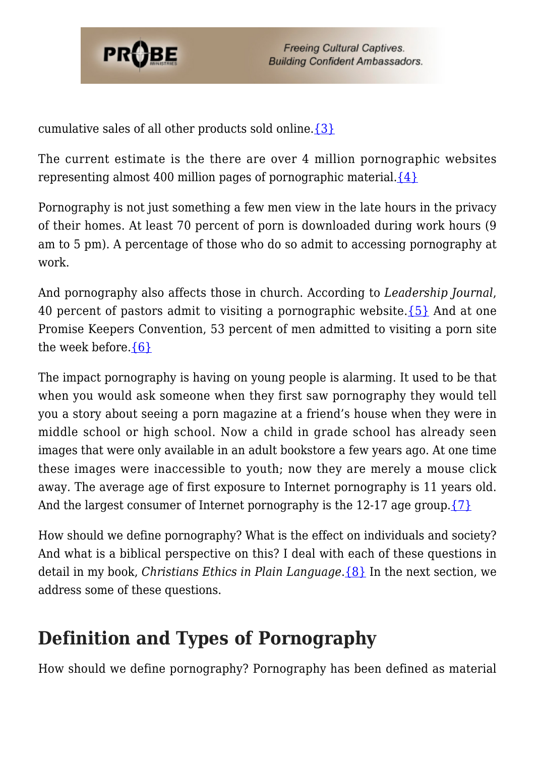

cumulative sales of all other products sold online. $\{3\}$ 

The current estimate is the there are over 4 million pornographic websites representing almost 400 million pages of pornographic material. $\{4\}$ 

Pornography is not just something a few men view in the late hours in the privacy of their homes. At least 70 percent of porn is downloaded during work hours (9 am to 5 pm). A percentage of those who do so admit to accessing pornography at work.

And pornography also affects those in church. According to *Leadership Journal*, 40 percent of pastors admit to visiting a pornographic website.[{5}](#page-7-4) And at one Promise Keepers Convention, 53 percent of men admitted to visiting a porn site the week before.[{6}](#page-7-5)

The impact pornography is having on young people is alarming. It used to be that when you would ask someone when they first saw pornography they would tell you a story about seeing a porn magazine at a friend's house when they were in middle school or high school. Now a child in grade school has already seen images that were only available in an adult bookstore a few years ago. At one time these images were inaccessible to youth; now they are merely a mouse click away. The average age of first exposure to Internet pornography is 11 years old. And the largest consumer of Internet pornography is the 12-17 age group.  $\{7\}$ 

How should we define pornography? What is the effect on individuals and society? And what is a biblical perspective on this? I deal with each of these questions in detail in my book, *Christians Ethics in Plain Language*.[{8}](#page-7-7) In the next section, we address some of these questions.

## **Definition and Types of Pornography**

How should we define pornography? Pornography has been defined as material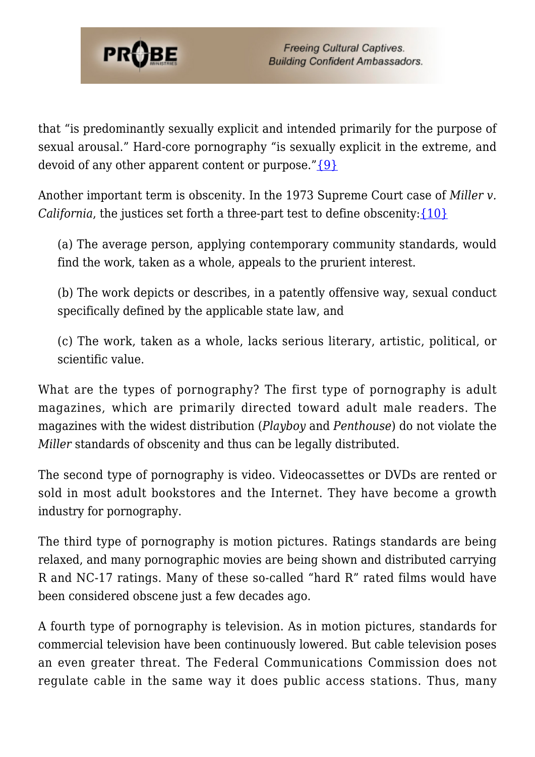

that "is predominantly sexually explicit and intended primarily for the purpose of sexual arousal." Hard-core pornography "is sexually explicit in the extreme, and devoid of any other apparent content or purpose." $\{9\}$ 

Another important term is obscenity. In the 1973 Supreme Court case of *Miller v. California*, the justices set forth a three-part test to define obscenity: [{10}](#page-8-1)

(a) The average person, applying contemporary community standards, would find the work, taken as a whole, appeals to the prurient interest.

(b) The work depicts or describes, in a patently offensive way, sexual conduct specifically defined by the applicable state law, and

(c) The work, taken as a whole, lacks serious literary, artistic, political, or scientific value.

What are the types of pornography? The first type of pornography is adult magazines, which are primarily directed toward adult male readers. The magazines with the widest distribution (*Playboy* and *Penthouse*) do not violate the *Miller* standards of obscenity and thus can be legally distributed.

The second type of pornography is video. Videocassettes or DVDs are rented or sold in most adult bookstores and the Internet. They have become a growth industry for pornography.

The third type of pornography is motion pictures. Ratings standards are being relaxed, and many pornographic movies are being shown and distributed carrying R and NC-17 ratings. Many of these so-called "hard R" rated films would have been considered obscene just a few decades ago.

A fourth type of pornography is television. As in motion pictures, standards for commercial television have been continuously lowered. But cable television poses an even greater threat. The Federal Communications Commission does not regulate cable in the same way it does public access stations. Thus, many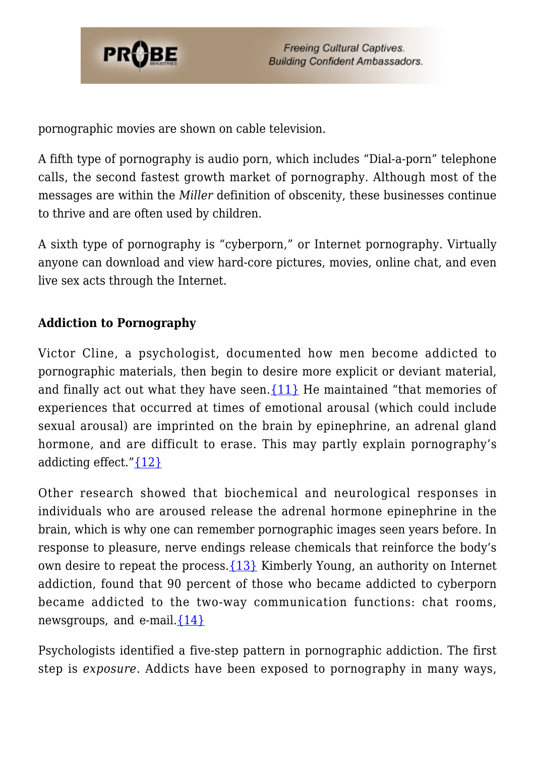

pornographic movies are shown on cable television.

A fifth type of pornography is audio porn, which includes "Dial-a-porn" telephone calls, the second fastest growth market of pornography. Although most of the messages are within the *Miller* definition of obscenity, these businesses continue to thrive and are often used by children.

A sixth type of pornography is "cyberporn," or Internet pornography. Virtually anyone can download and view hard-core pictures, movies, online chat, and even live sex acts through the Internet.

#### **Addiction to Pornography**

Victor Cline, a psychologist, documented how men become addicted to pornographic materials, then begin to desire more explicit or deviant material, and finally act out what they have seen. $\{11\}$  He maintained "that memories of experiences that occurred at times of emotional arousal (which could include sexual arousal) are imprinted on the brain by epinephrine, an adrenal gland hormone, and are difficult to erase. This may partly explain pornography's addicting effect." ${12}$ 

Other research showed that biochemical and neurological responses in individuals who are aroused release the adrenal hormone epinephrine in the brain, which is why one can remember pornographic images seen years before. In response to pleasure, nerve endings release chemicals that reinforce the body's own desire to repeat the process.[{13}](#page-8-4) Kimberly Young, an authority on Internet addiction, found that 90 percent of those who became addicted to cyberporn became addicted to the two-way communication functions: chat rooms, newsgroups, and e-mail.  ${14}$ 

Psychologists identified a five-step pattern in pornographic addiction. The first step is *exposure*. Addicts have been exposed to pornography in many ways,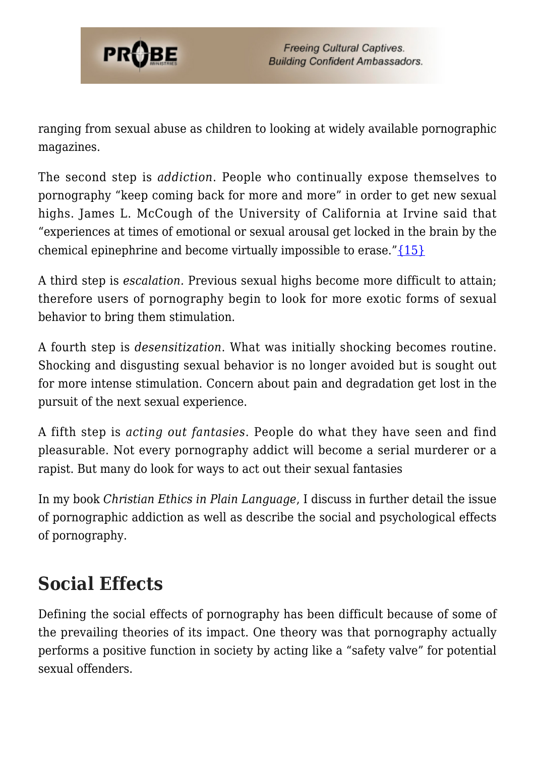

ranging from sexual abuse as children to looking at widely available pornographic magazines.

The second step is *addiction*. People who continually expose themselves to pornography "keep coming back for more and more" in order to get new sexual highs. James L. McCough of the University of California at Irvine said that "experiences at times of emotional or sexual arousal get locked in the brain by the chemical epinephrine and become virtually impossible to erase.["{15}](#page-8-6)

A third step is *escalation.* Previous sexual highs become more difficult to attain; therefore users of pornography begin to look for more exotic forms of sexual behavior to bring them stimulation.

A fourth step is *desensitization*. What was initially shocking becomes routine. Shocking and disgusting sexual behavior is no longer avoided but is sought out for more intense stimulation. Concern about pain and degradation get lost in the pursuit of the next sexual experience.

A fifth step is *acting out fantasies*. People do what they have seen and find pleasurable. Not every pornography addict will become a serial murderer or a rapist. But many do look for ways to act out their sexual fantasies

In my book *Christian Ethics in Plain Language*, I discuss in further detail the issue of pornographic addiction as well as describe the social and psychological effects of pornography.

## **Social Effects**

Defining the social effects of pornography has been difficult because of some of the prevailing theories of its impact. One theory was that pornography actually performs a positive function in society by acting like a "safety valve" for potential sexual offenders.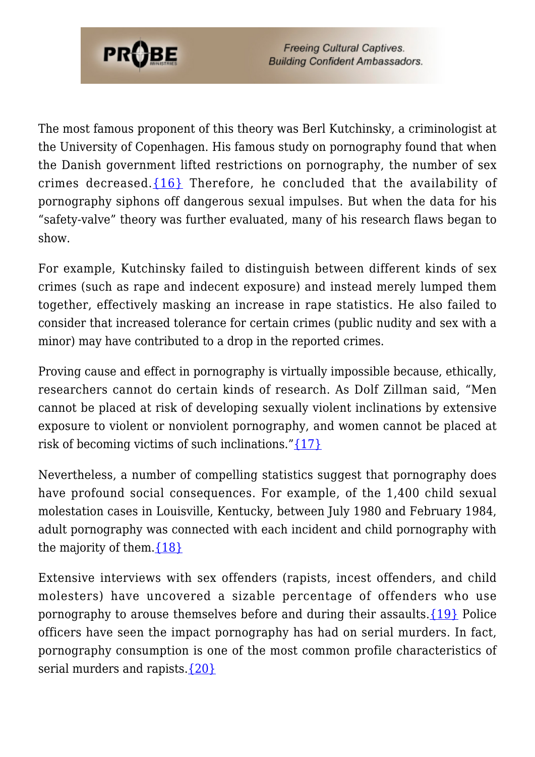

**Freeing Cultural Captives. Building Confident Ambassadors.** 

The most famous proponent of this theory was Berl Kutchinsky, a criminologist at the University of Copenhagen. His famous study on pornography found that when the Danish government lifted restrictions on pornography, the number of sex crimes decreased.[{16}](#page-8-7) Therefore, he concluded that the availability of pornography siphons off dangerous sexual impulses. But when the data for his "safety-valve" theory was further evaluated, many of his research flaws began to show.

For example, Kutchinsky failed to distinguish between different kinds of sex crimes (such as rape and indecent exposure) and instead merely lumped them together, effectively masking an increase in rape statistics. He also failed to consider that increased tolerance for certain crimes (public nudity and sex with a minor) may have contributed to a drop in the reported crimes.

Proving cause and effect in pornography is virtually impossible because, ethically, researchers cannot do certain kinds of research. As Dolf Zillman said, "Men cannot be placed at risk of developing sexually violent inclinations by extensive exposure to violent or nonviolent pornography, and women cannot be placed at risk of becoming victims of such inclinations." $\{17\}$ 

Nevertheless, a number of compelling statistics suggest that pornography does have profound social consequences. For example, of the 1,400 child sexual molestation cases in Louisville, Kentucky, between July 1980 and February 1984, adult pornography was connected with each incident and child pornography with the majority of them.  $\{18\}$ 

Extensive interviews with sex offenders (rapists, incest offenders, and child molesters) have uncovered a sizable percentage of offenders who use pornography to arouse themselves before and during their assaults[.{19}](#page-8-10) Police officers have seen the impact pornography has had on serial murders. In fact, pornography consumption is one of the most common profile characteristics of serial murders and rapists. ${20}$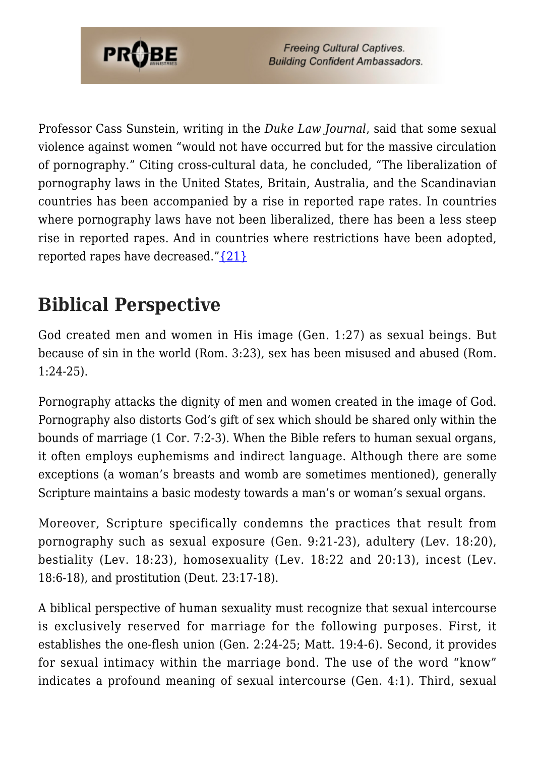

Professor Cass Sunstein, writing in the *Duke Law Journal*, said that some sexual violence against women "would not have occurred but for the massive circulation of pornography." Citing cross-cultural data, he concluded, "The liberalization of pornography laws in the United States, Britain, Australia, and the Scandinavian countries has been accompanied by a rise in reported rape rates. In countries where pornography laws have not been liberalized, there has been a less steep rise in reported rapes. And in countries where restrictions have been adopted, reported rapes have decreased." $\{21\}$ 

## **Biblical Perspective**

God created men and women in His image (Gen. 1:27) as sexual beings. But because of sin in the world (Rom. 3:23), sex has been misused and abused (Rom. 1:24-25).

Pornography attacks the dignity of men and women created in the image of God. Pornography also distorts God's gift of sex which should be shared only within the bounds of marriage (1 Cor. 7:2-3). When the Bible refers to human sexual organs, it often employs euphemisms and indirect language. Although there are some exceptions (a woman's breasts and womb are sometimes mentioned), generally Scripture maintains a basic modesty towards a man's or woman's sexual organs.

Moreover, Scripture specifically condemns the practices that result from pornography such as sexual exposure (Gen. 9:21-23), adultery (Lev. 18:20), bestiality (Lev. 18:23), homosexuality (Lev. 18:22 and 20:13), incest (Lev. 18:6-18), and prostitution (Deut. 23:17-18).

A biblical perspective of human sexuality must recognize that sexual intercourse is exclusively reserved for marriage for the following purposes. First, it establishes the one-flesh union (Gen. 2:24-25; Matt. 19:4-6). Second, it provides for sexual intimacy within the marriage bond. The use of the word "know" indicates a profound meaning of sexual intercourse (Gen. 4:1). Third, sexual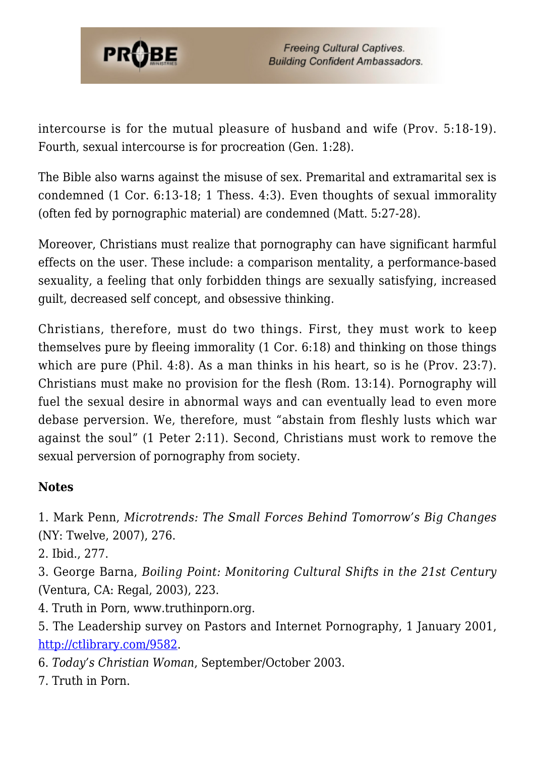

intercourse is for the mutual pleasure of husband and wife (Prov. 5:18-19). Fourth, sexual intercourse is for procreation (Gen. 1:28).

The Bible also warns against the misuse of sex. Premarital and extramarital sex is condemned (1 Cor. 6:13-18; 1 Thess. 4:3). Even thoughts of sexual immorality (often fed by pornographic material) are condemned (Matt. 5:27-28).

Moreover, Christians must realize that pornography can have significant harmful effects on the user. These include: a comparison mentality, a performance-based sexuality, a feeling that only forbidden things are sexually satisfying, increased guilt, decreased self concept, and obsessive thinking.

Christians, therefore, must do two things. First, they must work to keep themselves pure by fleeing immorality (1 Cor. 6:18) and thinking on those things which are pure (Phil. 4:8). As a man thinks in his heart, so is he (Prov. 23:7). Christians must make no provision for the flesh (Rom. 13:14). Pornography will fuel the sexual desire in abnormal ways and can eventually lead to even more debase perversion. We, therefore, must "abstain from fleshly lusts which war against the soul" (1 Peter 2:11). Second, Christians must work to remove the sexual perversion of pornography from society.

#### **Notes**

<span id="page-7-0"></span>1. Mark Penn, *Microtrends: The Small Forces Behind Tomorrow's Big Changes* (NY: Twelve, 2007), 276.

<span id="page-7-1"></span>2. Ibid., 277.

<span id="page-7-2"></span>3. George Barna, *Boiling Point: Monitoring Cultural Shifts in the 21st Century* (Ventura, CA: Regal, 2003), 223.

<span id="page-7-3"></span>4. Truth in Porn, www.truthinporn.org.

<span id="page-7-4"></span>5. The Leadership survey on Pastors and Internet Pornography, 1 January 2001, [http://ctlibrary.com/9582.](http://ctlibrary.com/9582)

- <span id="page-7-5"></span>6. *Today's Christian Woman*, September/October 2003.
- <span id="page-7-7"></span><span id="page-7-6"></span>7. Truth in Porn.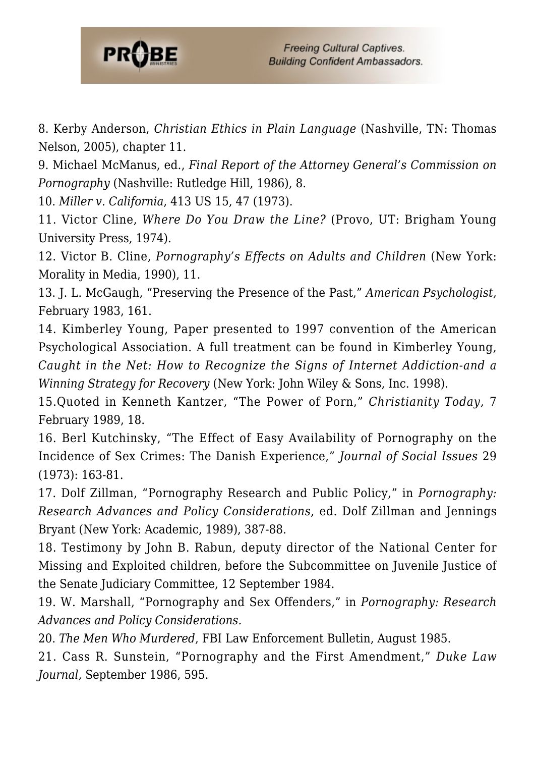

8. Kerby Anderson, *Christian Ethics in Plain Language* (Nashville, TN: Thomas Nelson, 2005), chapter 11.

<span id="page-8-0"></span>9. Michael McManus, ed., *Final Report of the Attorney General's Commission on Pornography* (Nashville: Rutledge Hill, 1986), 8.

<span id="page-8-1"></span>10. *Miller v. California*, 413 US 15, 47 (1973).

<span id="page-8-2"></span>11. Victor Cline, *Where Do You Draw the Line?* (Provo, UT: Brigham Young University Press, 1974).

<span id="page-8-3"></span>12. Victor B. Cline, *Pornography's Effects on Adults and Children* (New York: Morality in Media, 1990), 11.

<span id="page-8-4"></span>13. J. L. McGaugh, "Preserving the Presence of the Past," *American Psychologist,* February 1983, 161.

<span id="page-8-5"></span>14. Kimberley Young, Paper presented to 1997 convention of the American Psychological Association. A full treatment can be found in Kimberley Young, *Caught in the Net: How to Recognize the Signs of Internet Addiction-and a Winning Strategy for Recovery* (New York: John Wiley & Sons, Inc. 1998).

<span id="page-8-6"></span>15.Quoted in Kenneth Kantzer, "The Power of Porn," *Christianity Today,* 7 February 1989, 18.

<span id="page-8-7"></span>16. Berl Kutchinsky, "The Effect of Easy Availability of Pornography on the Incidence of Sex Crimes: The Danish Experience," *Journal of Social Issues* 29 (1973): 163-81.

<span id="page-8-8"></span>17. Dolf Zillman, "Pornography Research and Public Policy," in *Pornography: Research Advances and Policy Considerations*, ed. Dolf Zillman and Jennings Bryant (New York: Academic, 1989), 387-88.

<span id="page-8-9"></span>18. Testimony by John B. Rabun, deputy director of the National Center for Missing and Exploited children, before the Subcommittee on Juvenile Justice of the Senate Judiciary Committee, 12 September 1984.

<span id="page-8-10"></span>19. W. Marshall, "Pornography and Sex Offenders," in *Pornography: Research Advances and Policy Considerations.*

<span id="page-8-11"></span>20. *The Men Who Murdered*, FBI Law Enforcement Bulletin, August 1985.

<span id="page-8-12"></span>21. Cass R. Sunstein, "Pornography and the First Amendment," *Duke Law Journal,* September 1986, 595.